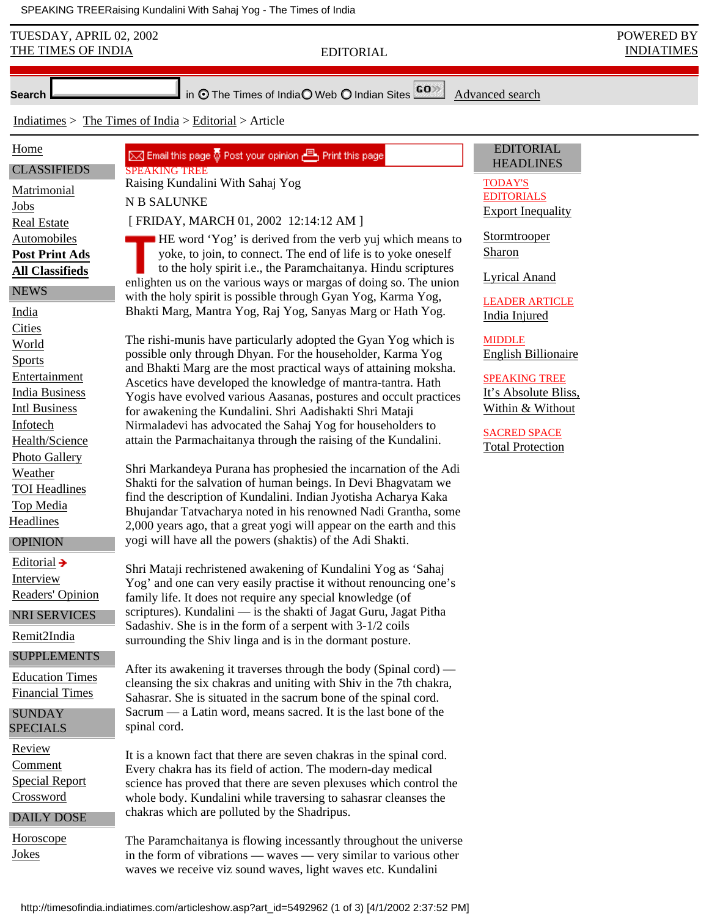SPEAKING TREE Raising Kundalini With Sahaj Yog - The Times of India

| TUESDAY, APRIL 02, 2002<br>THE TIMES OF INDIA                                                                                                                                                                                                                                                                                                                                                                                                                                                                                                                                                                                   | <b>EDITORIAL</b>                                                                                                                                                                                                                                                                                                                                                                                                                                                                                                                                                                                                                                                                                                                                                                                                                                                                                                                                                                                                                                                                                                                                                                                                                                                                                                                                                                                                                                                                                                                                                                                                                                                                                                                                                                                                                                                                                                                                                                                                                                                                                                                                                                                                                                                                                                                                                                                                                                                                                                                                                                                                                                                                                              | POWERED BY<br><b>INDIATIMES</b> |  |
|---------------------------------------------------------------------------------------------------------------------------------------------------------------------------------------------------------------------------------------------------------------------------------------------------------------------------------------------------------------------------------------------------------------------------------------------------------------------------------------------------------------------------------------------------------------------------------------------------------------------------------|---------------------------------------------------------------------------------------------------------------------------------------------------------------------------------------------------------------------------------------------------------------------------------------------------------------------------------------------------------------------------------------------------------------------------------------------------------------------------------------------------------------------------------------------------------------------------------------------------------------------------------------------------------------------------------------------------------------------------------------------------------------------------------------------------------------------------------------------------------------------------------------------------------------------------------------------------------------------------------------------------------------------------------------------------------------------------------------------------------------------------------------------------------------------------------------------------------------------------------------------------------------------------------------------------------------------------------------------------------------------------------------------------------------------------------------------------------------------------------------------------------------------------------------------------------------------------------------------------------------------------------------------------------------------------------------------------------------------------------------------------------------------------------------------------------------------------------------------------------------------------------------------------------------------------------------------------------------------------------------------------------------------------------------------------------------------------------------------------------------------------------------------------------------------------------------------------------------------------------------------------------------------------------------------------------------------------------------------------------------------------------------------------------------------------------------------------------------------------------------------------------------------------------------------------------------------------------------------------------------------------------------------------------------------------------------------------------------|---------------------------------|--|
| in $\odot$ The Times of India $\bigcirc$ Web $\bigcirc$ Indian Sites $\overline{GO}$<br>Advanced search<br><b>Search</b>                                                                                                                                                                                                                                                                                                                                                                                                                                                                                                        |                                                                                                                                                                                                                                                                                                                                                                                                                                                                                                                                                                                                                                                                                                                                                                                                                                                                                                                                                                                                                                                                                                                                                                                                                                                                                                                                                                                                                                                                                                                                                                                                                                                                                                                                                                                                                                                                                                                                                                                                                                                                                                                                                                                                                                                                                                                                                                                                                                                                                                                                                                                                                                                                                                               |                                 |  |
| Indiatimes $>$ The Times of India $>$ Editorial $>$ Article                                                                                                                                                                                                                                                                                                                                                                                                                                                                                                                                                                     |                                                                                                                                                                                                                                                                                                                                                                                                                                                                                                                                                                                                                                                                                                                                                                                                                                                                                                                                                                                                                                                                                                                                                                                                                                                                                                                                                                                                                                                                                                                                                                                                                                                                                                                                                                                                                                                                                                                                                                                                                                                                                                                                                                                                                                                                                                                                                                                                                                                                                                                                                                                                                                                                                                               |                                 |  |
| Home<br><b>CLASSIFIEDS</b><br>Matrimonial<br>Jobs<br><b>Real Estate</b><br>Automobiles<br><b>Post Print Ads</b><br><b>All Classifieds</b><br><b>NEWS</b><br>India<br>Cities<br>World<br><b>Sports</b><br>Entertainment<br><b>India Business</b><br><b>Intl Business</b><br>Infotech<br>Health/Science<br><b>Photo Gallery</b><br>Weather<br><b>TOI Headlines</b><br>Top Media<br>Headlines<br><b>OPINION</b><br>Editorial $\rightarrow$<br>Interview<br>Readers' Opinion<br>NRI SERVICES<br>Remit2India<br><b>SUPPLEMENTS</b><br><b>Education Times</b><br><b>Financial Times</b><br><b>SUNDAY</b><br><b>SPECIALS</b><br>Review | <b>EDITORIAL</b><br>Print this page vour opinion B Print this page<br><b>HEADLINES</b><br><b>SPEAKING TREE</b><br>Raising Kundalini With Sahaj Yog<br><b>TODAY'S</b><br><b>EDITORIALS</b><br>N B SALUNKE<br><b>Export Inequality</b><br>[FRIDAY, MARCH 01, 2002 12:14:12 AM ]<br>Stormtrooper<br><b>HE</b> word 'Yog' is derived from the verb yuj which means to<br><b>Sharon</b><br>yoke, to join, to connect. The end of life is to yoke oneself<br>to the holy spirit i.e., the Paramchaitanya. Hindu scriptures<br><b>Lyrical Anand</b><br>enlighten us on the various ways or margas of doing so. The union<br>with the holy spirit is possible through Gyan Yog, Karma Yog,<br><b>LEADER ARTICLE</b><br>Bhakti Marg, Mantra Yog, Raj Yog, Sanyas Marg or Hath Yog.<br><b>India Injured</b><br>The rishi-munis have particularly adopted the Gyan Yog which is<br><b>MIDDLE</b><br>possible only through Dhyan. For the householder, Karma Yog<br><b>English Billionaire</b><br>and Bhakti Marg are the most practical ways of attaining moksha.<br><b>SPEAKING TREE</b><br>Ascetics have developed the knowledge of mantra-tantra. Hath<br>It's Absolute Bliss,<br>Yogis have evolved various Aasanas, postures and occult practices<br>Within & Without<br>for awakening the Kundalini. Shri Aadishakti Shri Mataji<br>Nirmaladevi has advocated the Sahaj Yog for householders to<br><b>SACRED SPACE</b><br>attain the Parmachaitanya through the raising of the Kundalini.<br><b>Total Protection</b><br>Shri Markandeya Purana has prophesied the incarnation of the Adi<br>Shakti for the salvation of human beings. In Devi Bhagvatam we<br>find the description of Kundalini. Indian Jyotisha Acharya Kaka<br>Bhujandar Tatvacharya noted in his renowned Nadi Grantha, some<br>2,000 years ago, that a great yogi will appear on the earth and this<br>yogi will have all the powers (shaktis) of the Adi Shakti.<br>Shri Mataji rechristened awakening of Kundalini Yog as 'Sahaj<br>Yog' and one can very easily practise it without renouncing one's<br>family life. It does not require any special knowledge (of<br>scriptures). Kundalini - is the shakti of Jagat Guru, Jagat Pitha<br>Sadashiv. She is in the form of a serpent with 3-1/2 coils<br>surrounding the Shiv linga and is in the dormant posture.<br>After its awakening it traverses through the body (Spinal cord) —<br>cleansing the six chakras and uniting with Shiv in the 7th chakra,<br>Sahasrar. She is situated in the sacrum bone of the spinal cord.<br>Sacrum — a Latin word, means sacred. It is the last bone of the<br>spinal cord.<br>It is a known fact that there are seven chakras in the spinal cord. |                                 |  |
| Comment<br><b>Special Report</b><br>Crossword<br><b>DAILY DOSE</b>                                                                                                                                                                                                                                                                                                                                                                                                                                                                                                                                                              | Every chakra has its field of action. The modern-day medical<br>science has proved that there are seven plexuses which control the<br>whole body. Kundalini while traversing to sahasrar cleanses the<br>chakras which are polluted by the Shadripus.                                                                                                                                                                                                                                                                                                                                                                                                                                                                                                                                                                                                                                                                                                                                                                                                                                                                                                                                                                                                                                                                                                                                                                                                                                                                                                                                                                                                                                                                                                                                                                                                                                                                                                                                                                                                                                                                                                                                                                                                                                                                                                                                                                                                                                                                                                                                                                                                                                                         |                                 |  |
| Horoscope<br>Jokes                                                                                                                                                                                                                                                                                                                                                                                                                                                                                                                                                                                                              | The Paramchaitanya is flowing incessantly throughout the universe<br>in the form of vibrations — waves — very similar to various other<br>waves we receive viz sound waves, light waves etc. Kundalini                                                                                                                                                                                                                                                                                                                                                                                                                                                                                                                                                                                                                                                                                                                                                                                                                                                                                                                                                                                                                                                                                                                                                                                                                                                                                                                                                                                                                                                                                                                                                                                                                                                                                                                                                                                                                                                                                                                                                                                                                                                                                                                                                                                                                                                                                                                                                                                                                                                                                                        |                                 |  |